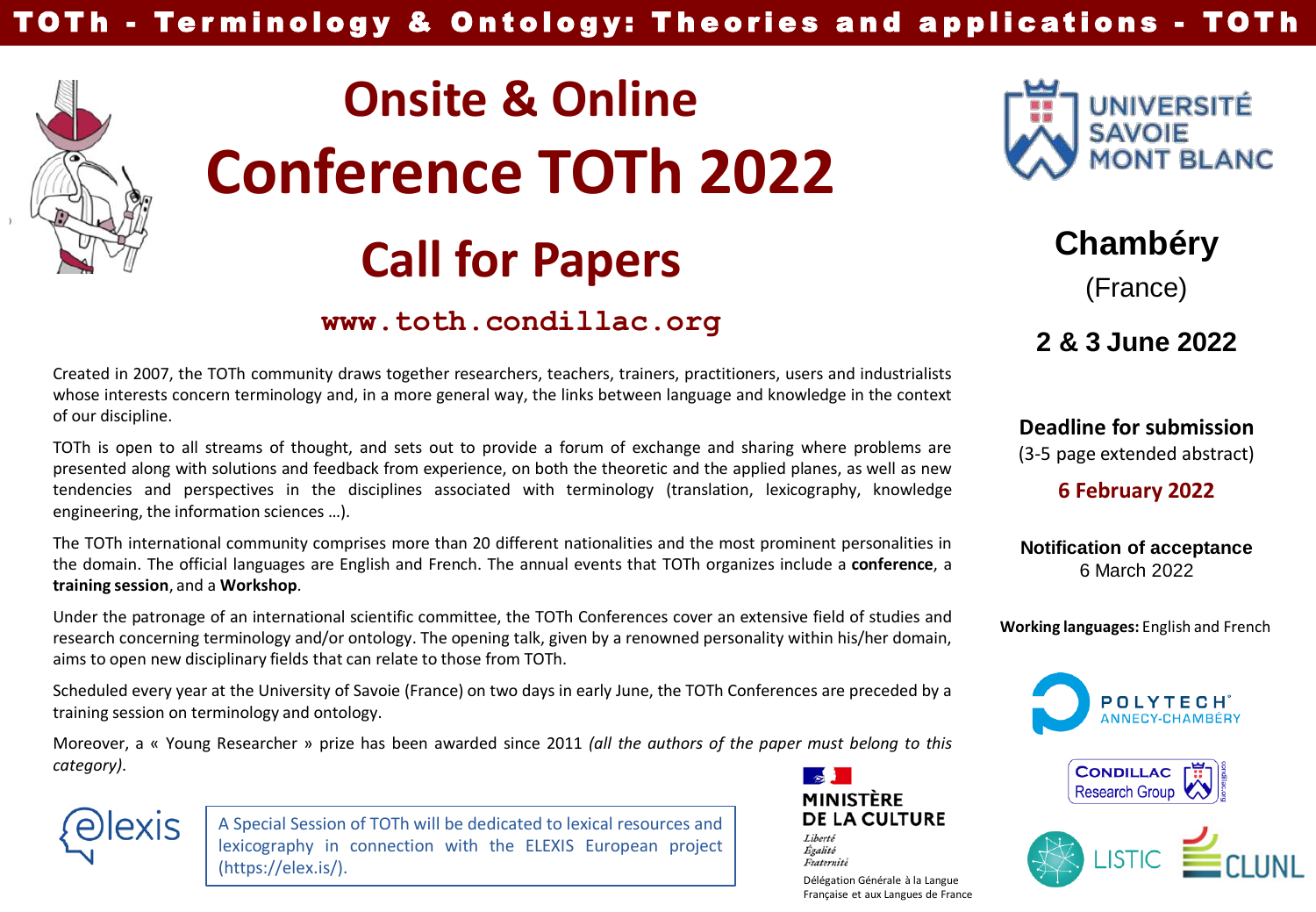

# **Onsite & Online Conference TOTh 2022 Call for Papers Chambéry**

## **www.toth.condillac.org**



TOTh is open to all streams of thought, and sets out to provide a forum of exchange and sharing where problems are presented along with solutions and feedback from experience, on both the theoretic and the applied planes, as well as new tendencies and perspectives in the disciplines associated with terminology (translation, lexicography, knowledge engineering, the information sciences …).

The TOTh international community comprises more than 20 different nationalities and the most prominent personalities in the domain. The official languages are English and French. The annual events that TOTh organizes include a **conference**, a **training session**, and a **Workshop**.

Under the patronage of an international scientific committee, the TOTh Conferences cover an extensive field of studies and research concerning terminology and/or ontology. The opening talk, given by a renowned personality within his/her domain, aims to open new disciplinary fields that can relate to those from TOTh.

Scheduled every year at the University of Savoie (France) on two days in early June, the TOTh Conferences are preceded by a training session on terminology and ontology.

Moreover, a « Young Researcher » prize has been awarded since 2011 *(all the authors of the paper must belong to this category)*.



A Special Session of TOTh will be dedicated to lexical resources and lexicography in connection with the ELEXIS European project (https://elex.is/).



Liberté Égalité Fraternité

Délégation Générale à la Langue Française et aux Langues de France



(France)

**2 & 3 June 2022**

**Deadline for submission** (3-5 page extended abstract)

**6 February 2022**

**Notification of acceptance** 6 March 2022

**Working languages:** English and French